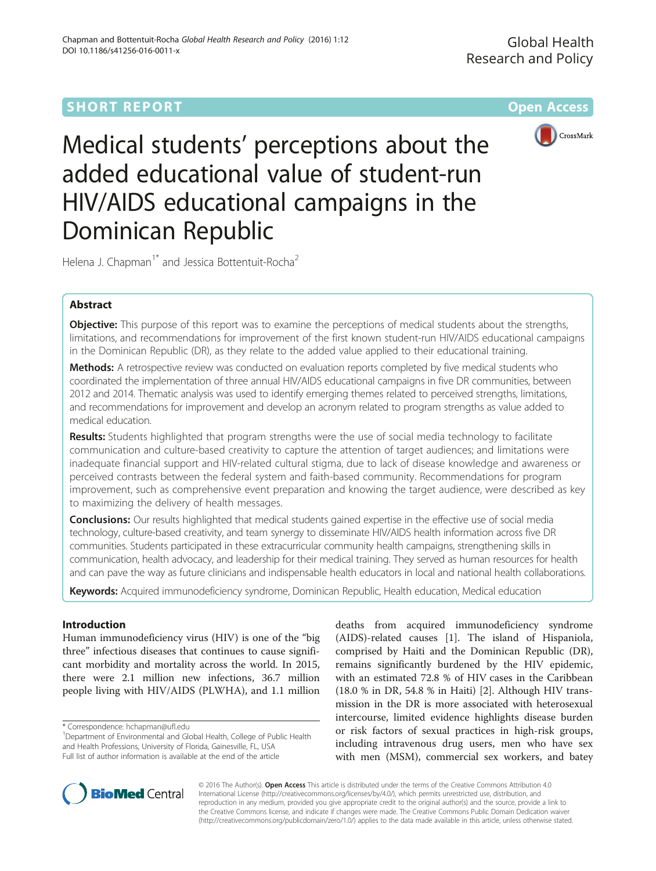# **SHORT REPORT CONSUMING THE CONSUMING OPEN ACCESS**



Medical students' perceptions about the added educational value of student-run HIV/AIDS educational campaigns in the Dominican Republic

Helena J. Chapman<sup>1\*</sup> and Jessica Bottentuit-Rocha<sup>2</sup>

## Abstract

**Objective:** This purpose of this report was to examine the perceptions of medical students about the strengths, limitations, and recommendations for improvement of the first known student-run HIV/AIDS educational campaigns in the Dominican Republic (DR), as they relate to the added value applied to their educational training.

**Methods:** A retrospective review was conducted on evaluation reports completed by five medical students who coordinated the implementation of three annual HIV/AIDS educational campaigns in five DR communities, between 2012 and 2014. Thematic analysis was used to identify emerging themes related to perceived strengths, limitations, and recommendations for improvement and develop an acronym related to program strengths as value added to medical education.

Results: Students highlighted that program strengths were the use of social media technology to facilitate communication and culture-based creativity to capture the attention of target audiences; and limitations were inadequate financial support and HIV-related cultural stigma, due to lack of disease knowledge and awareness or perceived contrasts between the federal system and faith-based community. Recommendations for program improvement, such as comprehensive event preparation and knowing the target audience, were described as key to maximizing the delivery of health messages.

**Conclusions:** Our results highlighted that medical students gained expertise in the effective use of social media technology, culture-based creativity, and team synergy to disseminate HIV/AIDS health information across five DR communities. Students participated in these extracurricular community health campaigns, strengthening skills in communication, health advocacy, and leadership for their medical training. They served as human resources for health and can pave the way as future clinicians and indispensable health educators in local and national health collaborations.

Keywords: Acquired immunodeficiency syndrome, Dominican Republic, Health education, Medical education

## Introduction

Human immunodeficiency virus (HIV) is one of the "big three" infectious diseases that continues to cause significant morbidity and mortality across the world. In 2015, there were 2.1 million new infections, 36.7 million people living with HIV/AIDS (PLWHA), and 1.1 million

\* Correspondence: [hchapman@ufl.edu](mailto:hchapman@ufl.edu) <sup>1</sup>

deaths from acquired immunodeficiency syndrome (AIDS)-related causes [[1](#page-4-0)]. The island of Hispaniola, comprised by Haiti and the Dominican Republic (DR), remains significantly burdened by the HIV epidemic, with an estimated 72.8 % of HIV cases in the Caribbean (18.0 % in DR, 54.8 % in Haiti) [[2\]](#page-4-0). Although HIV transmission in the DR is more associated with heterosexual intercourse, limited evidence highlights disease burden or risk factors of sexual practices in high-risk groups, including intravenous drug users, men who have sex with men (MSM), commercial sex workers, and batey



© 2016 The Author(s). Open Access This article is distributed under the terms of the Creative Commons Attribution 4.0 International License [\(http://creativecommons.org/licenses/by/4.0/](http://creativecommons.org/licenses/by/4.0/)), which permits unrestricted use, distribution, and reproduction in any medium, provided you give appropriate credit to the original author(s) and the source, provide a link to the Creative Commons license, and indicate if changes were made. The Creative Commons Public Domain Dedication waiver [\(http://creativecommons.org/publicdomain/zero/1.0/](http://creativecommons.org/publicdomain/zero/1.0/)) applies to the data made available in this article, unless otherwise stated.

<sup>&</sup>lt;sup>1</sup>Department of Environmental and Global Health, College of Public Health and Health Professions, University of Florida, Gainesville, FL, USA Full list of author information is available at the end of the article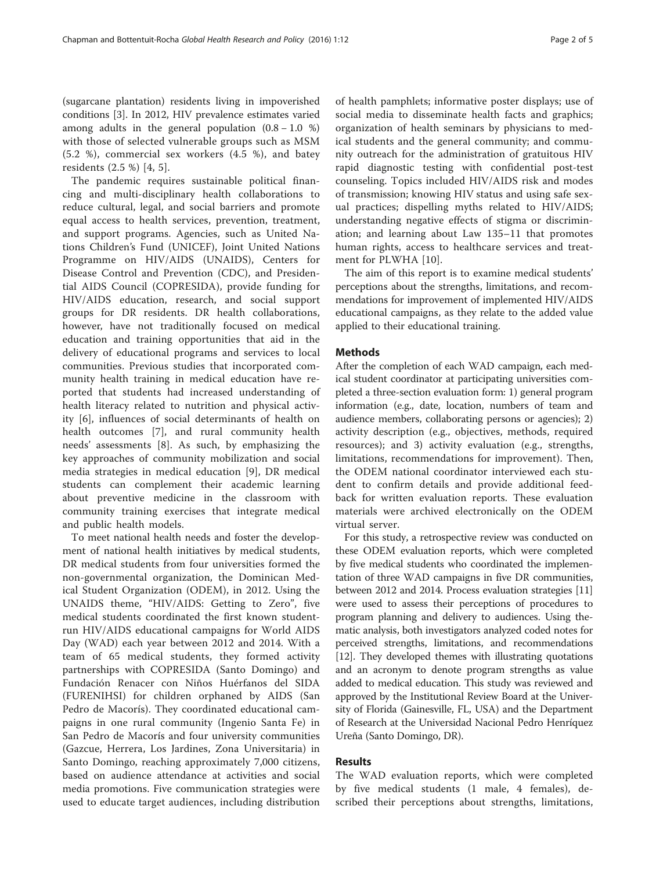(sugarcane plantation) residents living in impoverished conditions [[3\]](#page-4-0). In 2012, HIV prevalence estimates varied among adults in the general population  $(0.8 - 1.0 \%)$ with those of selected vulnerable groups such as MSM (5.2 %), commercial sex workers (4.5 %), and batey residents (2.5 %) [\[4, 5\]](#page-4-0).

The pandemic requires sustainable political financing and multi-disciplinary health collaborations to reduce cultural, legal, and social barriers and promote equal access to health services, prevention, treatment, and support programs. Agencies, such as United Nations Children's Fund (UNICEF), Joint United Nations Programme on HIV/AIDS (UNAIDS), Centers for Disease Control and Prevention (CDC), and Presidential AIDS Council (COPRESIDA), provide funding for HIV/AIDS education, research, and social support groups for DR residents. DR health collaborations, however, have not traditionally focused on medical education and training opportunities that aid in the delivery of educational programs and services to local communities. Previous studies that incorporated community health training in medical education have reported that students had increased understanding of health literacy related to nutrition and physical activity [[6\]](#page-4-0), influences of social determinants of health on health outcomes [[7](#page-4-0)], and rural community health needs' assessments [[8](#page-4-0)]. As such, by emphasizing the key approaches of community mobilization and social media strategies in medical education [\[9](#page-4-0)], DR medical students can complement their academic learning about preventive medicine in the classroom with community training exercises that integrate medical and public health models.

To meet national health needs and foster the development of national health initiatives by medical students, DR medical students from four universities formed the non-governmental organization, the Dominican Medical Student Organization (ODEM), in 2012. Using the UNAIDS theme, "HIV/AIDS: Getting to Zero", five medical students coordinated the first known studentrun HIV/AIDS educational campaigns for World AIDS Day (WAD) each year between 2012 and 2014. With a team of 65 medical students, they formed activity partnerships with COPRESIDA (Santo Domingo) and Fundación Renacer con Niños Huérfanos del SIDA (FURENIHSI) for children orphaned by AIDS (San Pedro de Macorís). They coordinated educational campaigns in one rural community (Ingenio Santa Fe) in San Pedro de Macorís and four university communities (Gazcue, Herrera, Los Jardines, Zona Universitaria) in Santo Domingo, reaching approximately 7,000 citizens, based on audience attendance at activities and social media promotions. Five communication strategies were used to educate target audiences, including distribution of health pamphlets; informative poster displays; use of social media to disseminate health facts and graphics; organization of health seminars by physicians to medical students and the general community; and community outreach for the administration of gratuitous HIV rapid diagnostic testing with confidential post-test counseling. Topics included HIV/AIDS risk and modes of transmission; knowing HIV status and using safe sexual practices; dispelling myths related to HIV/AIDS; understanding negative effects of stigma or discrimination; and learning about Law 135–11 that promotes human rights, access to healthcare services and treatment for PLWHA [\[10](#page-4-0)].

The aim of this report is to examine medical students' perceptions about the strengths, limitations, and recommendations for improvement of implemented HIV/AIDS educational campaigns, as they relate to the added value applied to their educational training.

### Methods

After the completion of each WAD campaign, each medical student coordinator at participating universities completed a three-section evaluation form: 1) general program information (e.g., date, location, numbers of team and audience members, collaborating persons or agencies); 2) activity description (e.g., objectives, methods, required resources); and 3) activity evaluation (e.g., strengths, limitations, recommendations for improvement). Then, the ODEM national coordinator interviewed each student to confirm details and provide additional feedback for written evaluation reports. These evaluation materials were archived electronically on the ODEM virtual server.

For this study, a retrospective review was conducted on these ODEM evaluation reports, which were completed by five medical students who coordinated the implementation of three WAD campaigns in five DR communities, between 2012 and 2014. Process evaluation strategies [[11](#page-4-0)] were used to assess their perceptions of procedures to program planning and delivery to audiences. Using thematic analysis, both investigators analyzed coded notes for perceived strengths, limitations, and recommendations [[12](#page-4-0)]. They developed themes with illustrating quotations and an acronym to denote program strengths as value added to medical education. This study was reviewed and approved by the Institutional Review Board at the University of Florida (Gainesville, FL, USA) and the Department of Research at the Universidad Nacional Pedro Henríquez Ureña (Santo Domingo, DR).

### Results

The WAD evaluation reports, which were completed by five medical students (1 male, 4 females), described their perceptions about strengths, limitations,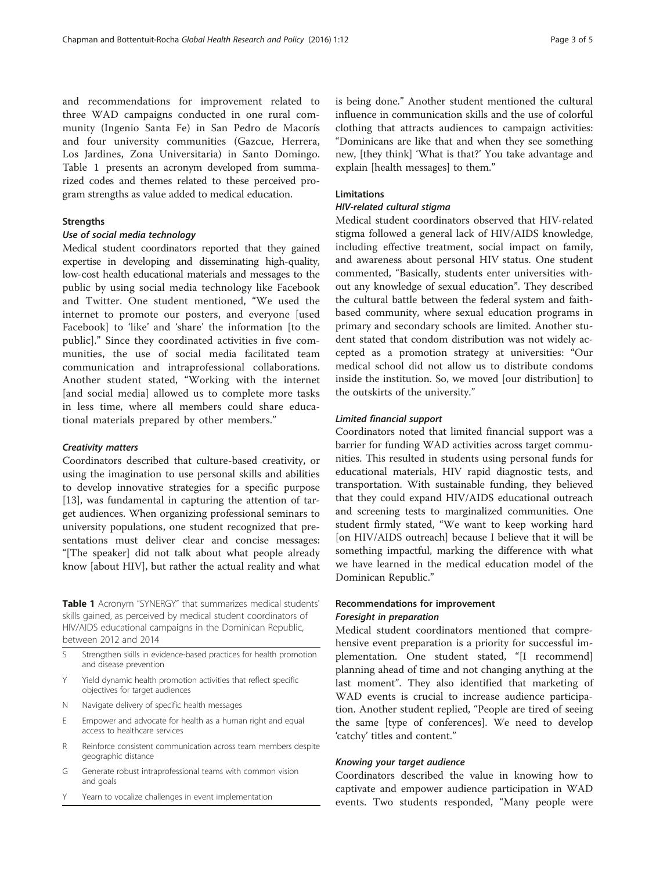and recommendations for improvement related to three WAD campaigns conducted in one rural community (Ingenio Santa Fe) in San Pedro de Macorís and four university communities (Gazcue, Herrera, Los Jardines, Zona Universitaria) in Santo Domingo. Table 1 presents an acronym developed from summarized codes and themes related to these perceived program strengths as value added to medical education.

### **Strengths**

### Use of social media technology

Medical student coordinators reported that they gained expertise in developing and disseminating high-quality, low-cost health educational materials and messages to the public by using social media technology like Facebook and Twitter. One student mentioned, "We used the internet to promote our posters, and everyone [used Facebook] to 'like' and 'share' the information [to the public]." Since they coordinated activities in five communities, the use of social media facilitated team communication and intraprofessional collaborations. Another student stated, "Working with the internet [and social media] allowed us to complete more tasks in less time, where all members could share educational materials prepared by other members."

### Creativity matters

Coordinators described that culture-based creativity, or using the imagination to use personal skills and abilities to develop innovative strategies for a specific purpose [[13\]](#page-4-0), was fundamental in capturing the attention of target audiences. When organizing professional seminars to university populations, one student recognized that presentations must deliver clear and concise messages: "[The speaker] did not talk about what people already know [about HIV], but rather the actual reality and what

Table 1 Acronym "SYNERGY" that summarizes medical students' skills gained, as perceived by medical student coordinators of HIV/AIDS educational campaigns in the Dominican Republic, between 2012 and 2014

- S Strengthen skills in evidence-based practices for health promotion and disease prevention
- Yield dynamic health promotion activities that reflect specific objectives for target audiences
- N Navigate delivery of specific health messages
- E Empower and advocate for health as a human right and equal access to healthcare services
- R Reinforce consistent communication across team members despite geographic distance
- G Generate robust intraprofessional teams with common vision and goals
- Yearn to vocalize challenges in event implementation

is being done." Another student mentioned the cultural influence in communication skills and the use of colorful clothing that attracts audiences to campaign activities: "Dominicans are like that and when they see something new, [they think] 'What is that?' You take advantage and explain [health messages] to them."

### Limitations

## HIV-related cultural stigma

Medical student coordinators observed that HIV-related stigma followed a general lack of HIV/AIDS knowledge, including effective treatment, social impact on family, and awareness about personal HIV status. One student commented, "Basically, students enter universities without any knowledge of sexual education". They described the cultural battle between the federal system and faithbased community, where sexual education programs in primary and secondary schools are limited. Another student stated that condom distribution was not widely accepted as a promotion strategy at universities: "Our medical school did not allow us to distribute condoms inside the institution. So, we moved [our distribution] to the outskirts of the university."

### Limited financial support

Coordinators noted that limited financial support was a barrier for funding WAD activities across target communities. This resulted in students using personal funds for educational materials, HIV rapid diagnostic tests, and transportation. With sustainable funding, they believed that they could expand HIV/AIDS educational outreach and screening tests to marginalized communities. One student firmly stated, "We want to keep working hard [on HIV/AIDS outreach] because I believe that it will be something impactful, marking the difference with what we have learned in the medical education model of the Dominican Republic."

### Recommendations for improvement Foresight in preparation

Medical student coordinators mentioned that comprehensive event preparation is a priority for successful implementation. One student stated, "[I recommend] planning ahead of time and not changing anything at the last moment". They also identified that marketing of WAD events is crucial to increase audience participation. Another student replied, "People are tired of seeing the same [type of conferences]. We need to develop 'catchy' titles and content."

### Knowing your target audience

Coordinators described the value in knowing how to captivate and empower audience participation in WAD events. Two students responded, "Many people were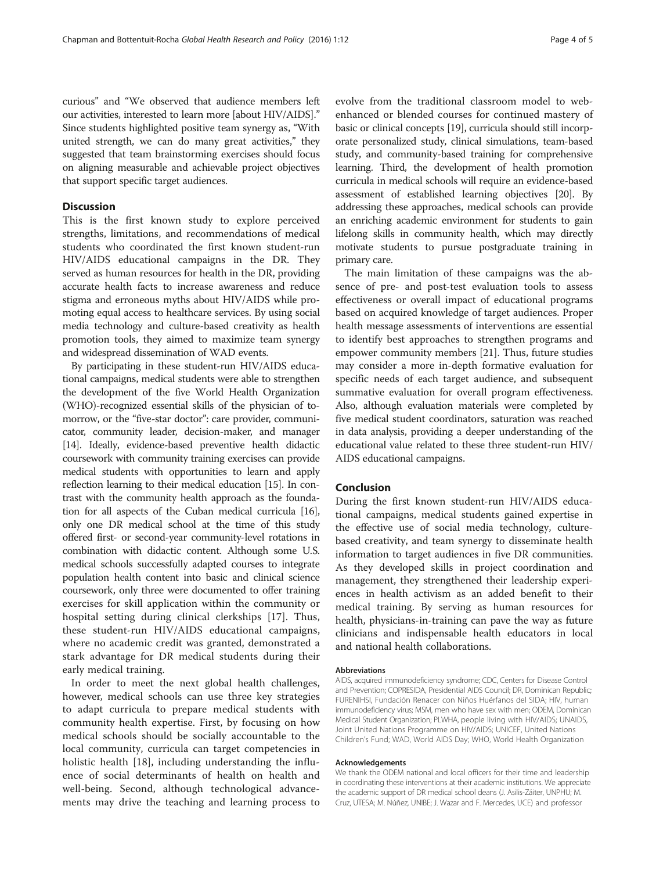curious" and "We observed that audience members left our activities, interested to learn more [about HIV/AIDS]." Since students highlighted positive team synergy as, "With united strength, we can do many great activities," they suggested that team brainstorming exercises should focus on aligning measurable and achievable project objectives that support specific target audiences.

### **Discussion**

This is the first known study to explore perceived strengths, limitations, and recommendations of medical students who coordinated the first known student-run HIV/AIDS educational campaigns in the DR. They served as human resources for health in the DR, providing accurate health facts to increase awareness and reduce stigma and erroneous myths about HIV/AIDS while promoting equal access to healthcare services. By using social media technology and culture-based creativity as health promotion tools, they aimed to maximize team synergy and widespread dissemination of WAD events.

By participating in these student-run HIV/AIDS educational campaigns, medical students were able to strengthen the development of the five World Health Organization (WHO)-recognized essential skills of the physician of tomorrow, or the "five-star doctor": care provider, communicator, community leader, decision-maker, and manager [[14](#page-4-0)]. Ideally, evidence-based preventive health didactic coursework with community training exercises can provide medical students with opportunities to learn and apply reflection learning to their medical education [\[15\]](#page-4-0). In contrast with the community health approach as the foundation for all aspects of the Cuban medical curricula [\[16](#page-4-0)], only one DR medical school at the time of this study offered first- or second-year community-level rotations in combination with didactic content. Although some U.S. medical schools successfully adapted courses to integrate population health content into basic and clinical science coursework, only three were documented to offer training exercises for skill application within the community or hospital setting during clinical clerkships [[17](#page-4-0)]. Thus, these student-run HIV/AIDS educational campaigns, where no academic credit was granted, demonstrated a stark advantage for DR medical students during their early medical training.

In order to meet the next global health challenges, however, medical schools can use three key strategies to adapt curricula to prepare medical students with community health expertise. First, by focusing on how medical schools should be socially accountable to the local community, curricula can target competencies in holistic health [[18\]](#page-4-0), including understanding the influence of social determinants of health on health and well-being. Second, although technological advancements may drive the teaching and learning process to

evolve from the traditional classroom model to webenhanced or blended courses for continued mastery of basic or clinical concepts [\[19](#page-4-0)], curricula should still incorporate personalized study, clinical simulations, team-based study, and community-based training for comprehensive learning. Third, the development of health promotion curricula in medical schools will require an evidence-based assessment of established learning objectives [\[20\]](#page-4-0). By addressing these approaches, medical schools can provide an enriching academic environment for students to gain lifelong skills in community health, which may directly motivate students to pursue postgraduate training in primary care.

The main limitation of these campaigns was the absence of pre- and post-test evaluation tools to assess effectiveness or overall impact of educational programs based on acquired knowledge of target audiences. Proper health message assessments of interventions are essential to identify best approaches to strengthen programs and empower community members [[21\]](#page-4-0). Thus, future studies may consider a more in-depth formative evaluation for specific needs of each target audience, and subsequent summative evaluation for overall program effectiveness. Also, although evaluation materials were completed by five medical student coordinators, saturation was reached in data analysis, providing a deeper understanding of the educational value related to these three student-run HIV/ AIDS educational campaigns.

### Conclusion

During the first known student-run HIV/AIDS educational campaigns, medical students gained expertise in the effective use of social media technology, culturebased creativity, and team synergy to disseminate health information to target audiences in five DR communities. As they developed skills in project coordination and management, they strengthened their leadership experiences in health activism as an added benefit to their medical training. By serving as human resources for health, physicians-in-training can pave the way as future clinicians and indispensable health educators in local and national health collaborations.

#### Abbreviations

AIDS, acquired immunodeficiency syndrome; CDC, Centers for Disease Control and Prevention; COPRESIDA, Presidential AIDS Council; DR, Dominican Republic; FURENIHSI, Fundación Renacer con Niños Huérfanos del SIDA; HIV, human immunodeficiency virus; MSM, men who have sex with men; ODEM, Dominican Medical Student Organization; PLWHA, people living with HIV/AIDS; UNAIDS, Joint United Nations Programme on HIV/AIDS; UNICEF, United Nations Children's Fund; WAD, World AIDS Day; WHO, World Health Organization

#### Acknowledgements

We thank the ODEM national and local officers for their time and leadership in coordinating these interventions at their academic institutions. We appreciate the academic support of DR medical school deans (J. Asilis-Záiter, UNPHU; M. Cruz, UTESA; M. Núñez, UNIBE; J. Wazar and F. Mercedes, UCE) and professor